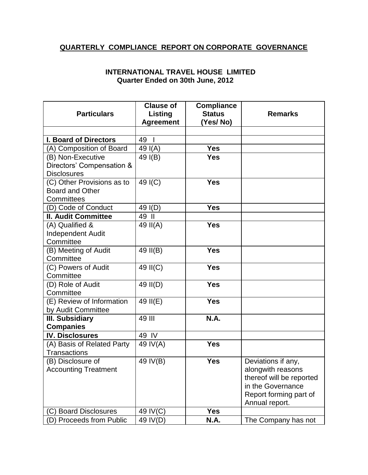## **QUARTERLY COMPLIANCE REPORT ON CORPORATE GOVERNANCE**

## **INTERNATIONAL TRAVEL HOUSE LIMITED Quarter Ended on 30th June, 2012**

|                              | <b>Clause of</b>   | <b>Compliance</b> |                          |
|------------------------------|--------------------|-------------------|--------------------------|
| <b>Particulars</b>           | Listing            | <b>Status</b>     | <b>Remarks</b>           |
|                              | <b>Agreement</b>   | (Yes/No)          |                          |
|                              |                    |                   |                          |
| <b>I. Board of Directors</b> | 49<br>$\mathbf{I}$ |                   |                          |
| (A) Composition of Board     | 49 I(A)            | <b>Yes</b>        |                          |
| (B) Non-Executive            | 49 I(B)            | <b>Yes</b>        |                          |
| Directors' Compensation &    |                    |                   |                          |
| <b>Disclosures</b>           |                    |                   |                          |
| (C) Other Provisions as to   | 49 I(C)            | <b>Yes</b>        |                          |
| <b>Board and Other</b>       |                    |                   |                          |
| Committees                   |                    |                   |                          |
| (D) Code of Conduct          | 49 I(D)            | <b>Yes</b>        |                          |
| <b>II. Audit Committee</b>   | 49 II              |                   |                          |
| (A) Qualified &              | 49 II(A)           | <b>Yes</b>        |                          |
| <b>Independent Audit</b>     |                    |                   |                          |
| Committee                    |                    |                   |                          |
| (B) Meeting of Audit         | 49 II(B)           | <b>Yes</b>        |                          |
| Committee                    |                    |                   |                          |
| (C) Powers of Audit          | 49 II(C)           | <b>Yes</b>        |                          |
| Committee                    |                    |                   |                          |
| (D) Role of Audit            | 49 II(D)           | <b>Yes</b>        |                          |
| Committee                    |                    |                   |                          |
| (E) Review of Information    | 49 II(E)           | <b>Yes</b>        |                          |
| by Audit Committee           |                    |                   |                          |
| <b>III. Subsidiary</b>       | 49 III             | <b>N.A.</b>       |                          |
| <b>Companies</b>             |                    |                   |                          |
| <b>IV. Disclosures</b>       | 49 IV              |                   |                          |
| (A) Basis of Related Party   | 49 IV(A)           | <b>Yes</b>        |                          |
| <b>Transactions</b>          |                    |                   |                          |
| (B) Disclosure of            | 49 IV(B)           | <b>Yes</b>        | Deviations if any,       |
| <b>Accounting Treatment</b>  |                    |                   | alongwith reasons        |
|                              |                    |                   | thereof will be reported |
|                              |                    |                   | in the Governance        |
|                              |                    |                   | Report forming part of   |
|                              |                    |                   | Annual report.           |
| (C) Board Disclosures        | 49 IV(C)           | <b>Yes</b>        |                          |
| (D) Proceeds from Public     | 49 IV(D)           | <b>N.A.</b>       | The Company has not      |